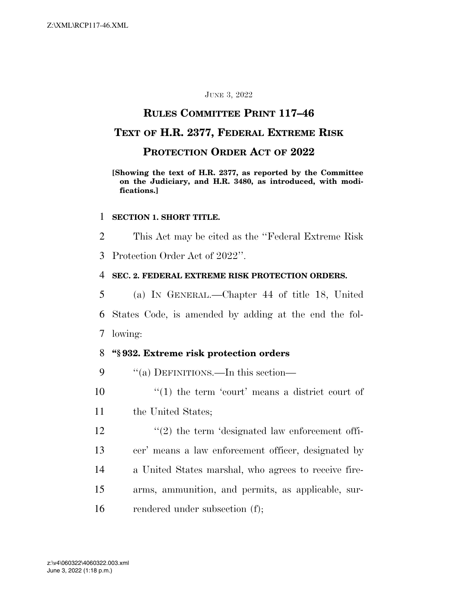#### JUNE 3, 2022

## **RULES COMMITTEE PRINT 117–46**

## **TEXT OF H.R. 2377, FEDERAL EXTREME RISK**

### **PROTECTION ORDER ACT OF 2022**

#### **[Showing the text of H.R. 2377, as reported by the Committee on the Judiciary, and H.R. 3480, as introduced, with modifications.]**

#### 1 **SECTION 1. SHORT TITLE.**

2 This Act may be cited as the ''Federal Extreme Risk

3 Protection Order Act of 2022''.

#### 4 **SEC. 2. FEDERAL EXTREME RISK PROTECTION ORDERS.**

5 (a) IN GENERAL.—Chapter 44 of title 18, United 6 States Code, is amended by adding at the end the fol-7 lowing:

## 8 **''§ 932. Extreme risk protection orders**

9  $\cdot$  "(a) DEFINITIONS.—In this section—

10  $\frac{1}{2}$  (1) the term 'court' means a district court of

11 the United States;

 $\frac{12}{2}$  ''(2) the term 'designated law enforcement offi- cer' means a law enforcement officer, designated by a United States marshal, who agrees to receive fire- arms, ammunition, and permits, as applicable, sur-rendered under subsection (f);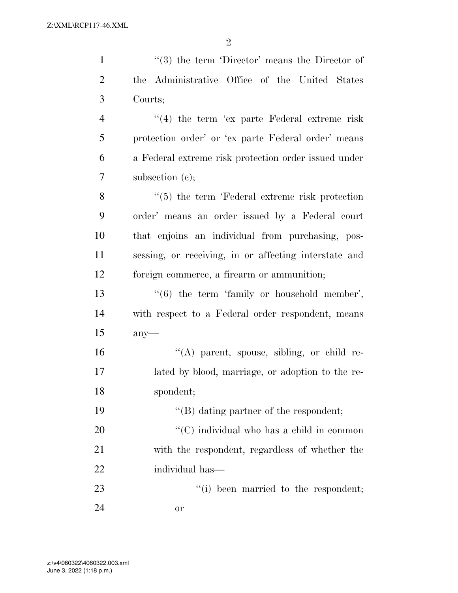1 ''(3) the term 'Director' means the Director of the Administrative Office of the United States Courts; 4 "(4) the term 'ex parte Federal extreme risk protection order' or 'ex parte Federal order' means a Federal extreme risk protection order issued under subsection (c); 8 ''(5) the term 'Federal extreme risk protection order' means an order issued by a Federal court that enjoins an individual from purchasing, pos- sessing, or receiving, in or affecting interstate and foreign commerce, a firearm or ammunition;

13 ''(6) the term 'family or household member', with respect to a Federal order respondent, means any—

 ''(A) parent, spouse, sibling, or child re- lated by blood, marriage, or adoption to the re-spondent;

 $\text{``(B)}$  dating partner of the respondent;  $\cdot$  (C) individual who has a child in common with the respondent, regardless of whether the individual has—

23  $\frac{1}{2}$   $\frac{1}{2}$  been married to the respondent;

or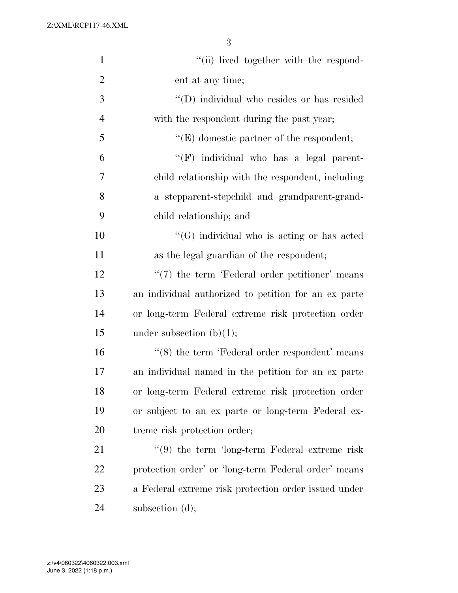| $\mathbf{1}$   | "(ii) lived together with the respond-               |
|----------------|------------------------------------------------------|
| $\overline{2}$ | ent at any time;                                     |
| 3              | "(D) individual who resides or has resided           |
| $\overline{4}$ | with the respondent during the past year;            |
| 5              | $\lq\lq(E)$ domestic partner of the respondent;      |
| 6              | "(F) individual who has a legal parent-              |
| 7              | child relationship with the respondent, including    |
| 8              | a stepparent-stepchild and grandparent-grand-        |
| 9              | child relationship; and                              |
| 10             | "(G) individual who is acting or has acted           |
| 11             | as the legal guardian of the respondent;             |
| 12             | $\lq(7)$ the term 'Federal order petitioner' means   |
| 13             | an individual authorized to petition for an ex parte |
| 14             | or long-term Federal extreme risk protection order   |
| 15             | under subsection $(b)(1)$ ;                          |
| 16             | $\lq(8)$ the term 'Federal order respondent' means   |
| 17             | an individual named in the petition for an ex parte  |
| 18             | or long-term Federal extreme risk protection order   |
| 19             | or subject to an ex parte or long-term Federal ex-   |
| 20             | treme risk protection order;                         |
| 21             | $\lq(9)$ the term 'long-term Federal extreme risk    |
| 22             | protection order' or 'long-term Federal order' means |
| 23             | a Federal extreme risk protection order issued under |
| 24             | subsection (d);                                      |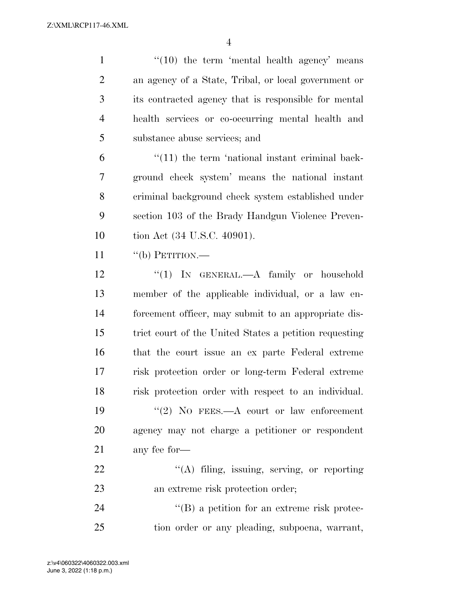$\frac{4}{10}$  the term 'mental health agency' means an agency of a State, Tribal, or local government or its contracted agency that is responsible for mental health services or co-occurring mental health and substance abuse services; and

 "(11) the term 'national instant criminal back- ground check system' means the national instant criminal background check system established under section 103 of the Brady Handgun Violence Preven-tion Act (34 U.S.C. 40901).

11  $"$  (b) PETITION.—

12 "(1) IN GENERAL.—A family or household member of the applicable individual, or a law en- forcement officer, may submit to an appropriate dis- trict court of the United States a petition requesting that the court issue an ex parte Federal extreme risk protection order or long-term Federal extreme risk protection order with respect to an individual. ''(2) NO FEES.—A court or law enforcement agency may not charge a petitioner or respondent any fee for— 22 "(A) filing, issuing, serving, or reporting 23 an extreme risk protection order;

24 ''(B) a petition for an extreme risk protec-tion order or any pleading, subpoena, warrant,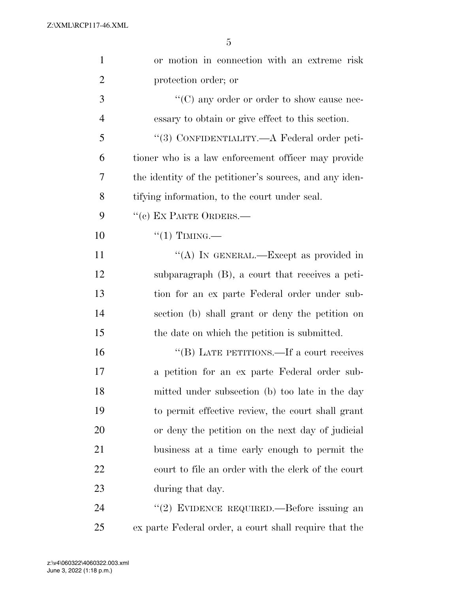| $\mathbf{1}$   | or motion in connection with an extreme risk            |
|----------------|---------------------------------------------------------|
| $\overline{2}$ | protection order; or                                    |
| 3              | $\lq\lq$ (C) any order or order to show cause nec-      |
| $\overline{4}$ | essary to obtain or give effect to this section.        |
| 5              | "(3) CONFIDENTIALITY.—A Federal order peti-             |
| 6              | tioner who is a law enforcement officer may provide     |
| 7              | the identity of the petitioner's sources, and any iden- |
| 8              | tifying information, to the court under seal.           |
| 9              | "(c) EX PARTE ORDERS.—                                  |
| 10             | $``(1)$ TIMING.—                                        |
| 11             | "(A) IN GENERAL.—Except as provided in                  |
| 12             | subparagraph (B), a court that receives a peti-         |
| 13             | tion for an ex parte Federal order under sub-           |
| 14             | section (b) shall grant or deny the petition on         |
| 15             | the date on which the petition is submitted.            |
| 16             | "(B) LATE PETITIONS.—If a court receives                |
| 17             | a petition for an ex parte Federal order sub-           |
| 18             | mitted under subsection (b) too late in the day         |
| 19             | to permit effective review, the court shall grant       |
| 20             | or deny the petition on the next day of judicial        |
| 21             | business at a time early enough to permit the           |
| 22             | court to file an order with the clerk of the court      |
| 23             | during that day.                                        |
| 24             | "(2) EVIDENCE REQUIRED.—Before issuing an               |
| 25             | ex parte Federal order, a court shall require that the  |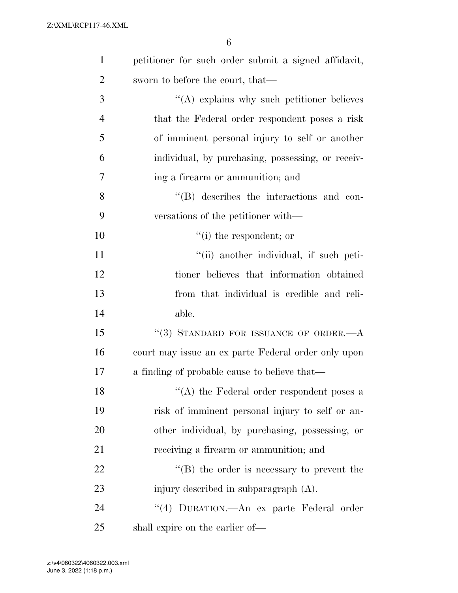| $\mathbf{1}$   | petitioner for such order submit a signed affidavit, |
|----------------|------------------------------------------------------|
| $\overline{2}$ | sworn to before the court, that—                     |
| 3              | $\lq\lq$ explains why such petitioner believes       |
| $\overline{4}$ | that the Federal order respondent poses a risk       |
| 5              | of imminent personal injury to self or another       |
| 6              | individual, by purchasing, possessing, or receiv-    |
| $\overline{7}$ | ing a firearm or ammunition; and                     |
| 8              | $\lq\lq$ describes the interactions and con-         |
| 9              | versations of the petitioner with—                   |
| 10             | $f'(i)$ the respondent; or                           |
| 11             | "(ii) another individual, if such peti-              |
| 12             | tioner believes that information obtained            |
| 13             | from that individual is credible and reli-           |
| 14             | able.                                                |
| 15             | "(3) STANDARD FOR ISSUANCE OF ORDER. $-A$            |
| 16             | court may issue an ex parte Federal order only upon  |
| 17             | a finding of probable cause to believe that—         |
| 18             | $\lq\lq$ (A) the Federal order respondent poses a    |
| 19             | risk of imminent personal injury to self or an-      |
| 20             | other individual, by purchasing, possessing, or      |
| 21             | receiving a firearm or ammunition; and               |
| 22             | $\lq\lq (B)$ the order is necessary to prevent the   |
| 23             | injury described in subparagraph (A).                |
| 24             | "(4) DURATION.—An ex parte Federal order             |
| 25             | shall expire on the earlier of—                      |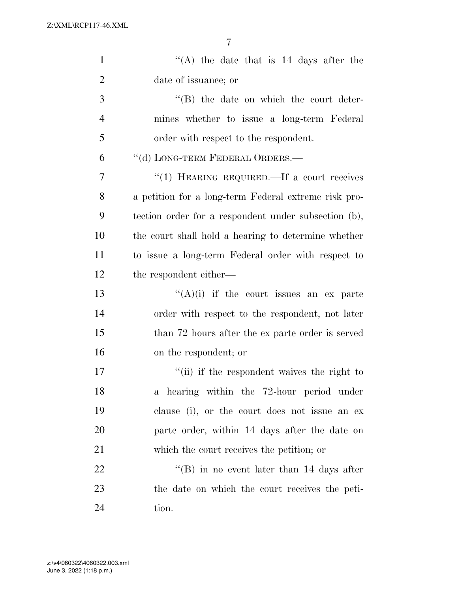| $\mathbf{1}$   | "(A) the date that is $14$ days after the            |
|----------------|------------------------------------------------------|
| $\overline{2}$ | date of issuance; or                                 |
| 3              | $\lq\lq (B)$ the date on which the court deter-      |
| $\overline{4}$ | mines whether to issue a long-term Federal           |
| 5              | order with respect to the respondent.                |
| 6              | "(d) LONG-TERM FEDERAL ORDERS.—                      |
| 7              | "(1) HEARING REQUIRED.—If a court receives           |
| 8              | a petition for a long-term Federal extreme risk pro- |
| 9              | tection order for a respondent under subsection (b), |
| 10             | the court shall hold a hearing to determine whether  |
| 11             | to issue a long-term Federal order with respect to   |
| 12             | the respondent either—                               |
| 13             | $\lq\lq(A)(i)$ if the court issues an ex parte       |
| 14             | order with respect to the respondent, not later      |
| 15             | than 72 hours after the ex parte order is served     |
| 16             | on the respondent; or                                |
| 17             | "(ii) if the respondent waives the right to          |
| 18             | a hearing within the 72-hour period under            |
| 19             | clause (i), or the court does not issue an ex        |
| 20             | parte order, within 14 days after the date on        |
| 21             | which the court receives the petition; or            |
| 22             | "(B) in no event later than $14$ days after          |
| 23             | the date on which the court receives the peti-       |
| 24             | tion.                                                |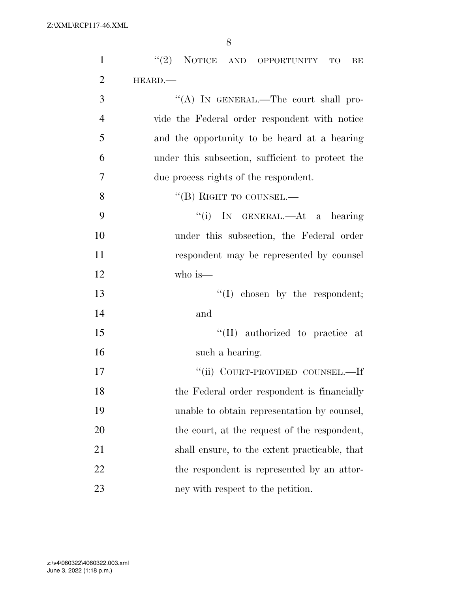| $\mathbf{1}$   | "(2) NOTICE AND OPPORTUNITY TO<br>BE             |
|----------------|--------------------------------------------------|
| $\overline{2}$ | HEARD.                                           |
| 3              | "(A) IN GENERAL.—The court shall pro-            |
| $\overline{4}$ | vide the Federal order respondent with notice    |
| 5              | and the opportunity to be heard at a hearing     |
| 6              | under this subsection, sufficient to protect the |
| $\overline{7}$ | due process rights of the respondent.            |
| 8              | "(B) RIGHT TO COUNSEL.—                          |
| 9              | "(i) IN GENERAL.—At a hearing                    |
| 10             | under this subsection, the Federal order         |
| 11             | respondent may be represented by counsel         |
| 12             | who is—                                          |
| 13             | $\lq\lq$ chosen by the respondent;               |
| 14             | and                                              |
| 15             | "(II) authorized to practice at                  |
| 16             | such a hearing.                                  |
| 17             | "(ii) COURT-PROVIDED COUNSEL.—If                 |
| 18             | the Federal order respondent is financially      |
| 19             | unable to obtain representation by counsel,      |
| 20             | the court, at the request of the respondent,     |
| 21             | shall ensure, to the extent practicable, that    |
| 22             | the respondent is represented by an attor-       |
| 23             | ney with respect to the petition.                |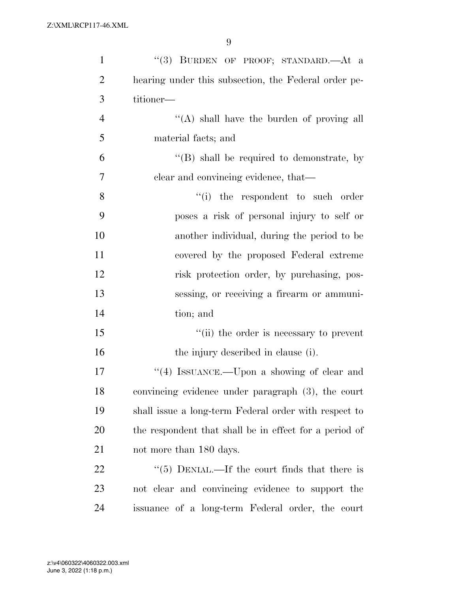| $\mathbf{1}$   | "(3) BURDEN OF PROOF; STANDARD.—At a                   |
|----------------|--------------------------------------------------------|
| $\overline{2}$ | hearing under this subsection, the Federal order pe-   |
| 3              | titioner-                                              |
| $\overline{4}$ | $\lq\lq$ shall have the burden of proving all          |
| 5              | material facts; and                                    |
| 6              | $\lq\lq (B)$ shall be required to demonstrate, by      |
| $\overline{7}$ | clear and convincing evidence, that—                   |
| 8              | "(i) the respondent to such order                      |
| 9              | poses a risk of personal injury to self or             |
| 10             | another individual, during the period to be            |
| 11             | covered by the proposed Federal extreme                |
| 12             | risk protection order, by purchasing, pos-             |
| 13             | sessing, or receiving a firearm or ammuni-             |
| 14             | tion; and                                              |
| 15             | "(ii) the order is necessary to prevent                |
| 16             | the injury described in clause (i).                    |
| $17\,$         | $\lq(4)$ ISSUANCE.—Upon a showing of clear and         |
| 18             | convincing evidence under paragraph (3), the court     |
| 19             | shall issue a long-term Federal order with respect to  |
| 20             | the respondent that shall be in effect for a period of |
| 21             | not more than 180 days.                                |
| 22             | "(5) DENIAL.—If the court finds that there is          |
| 23             | not clear and convincing evidence to support the       |
| 24             | issuance of a long-term Federal order, the court       |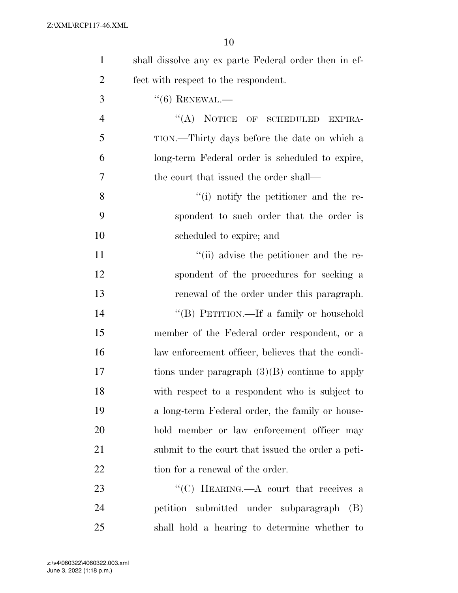| $\mathbf{1}$   | shall dissolve any ex parte Federal order then in ef- |
|----------------|-------------------------------------------------------|
| $\overline{2}$ | fect with respect to the respondent.                  |
| 3              | $``(6)$ RENEWAL.—                                     |
| $\overline{4}$ | "(A) NOTICE OF SCHEDULED<br>EXPIRA-                   |
| 5              | TION.—Thirty days before the date on which a          |
| 6              | long-term Federal order is scheduled to expire,       |
| 7              | the court that issued the order shall—                |
| 8              | $\lq\lq$ notify the petitioner and the re-            |
| 9              | spondent to such order that the order is              |
| 10             | scheduled to expire; and                              |
| 11             | "(ii) advise the petitioner and the re-               |
| 12             | spondent of the procedures for seeking a              |
| 13             | renewal of the order under this paragraph.            |
| 14             | "(B) PETITION.—If a family or household               |
| 15             | member of the Federal order respondent, or a          |
| 16             | law enforcement officer, believes that the condi-     |
| 17             | tions under paragraph $(3)(B)$ continue to apply      |
| 18             | with respect to a respondent who is subject to        |
| 19             | a long-term Federal order, the family or house-       |
| 20             | hold member or law enforcement officer may            |
| 21             | submit to the court that issued the order a peti-     |
| 22             | tion for a renewal of the order.                      |
| 23             | "(C) HEARING.— $A$ court that receives a              |
| 24             | petition submitted under subparagraph<br>(B)          |
| 25             | shall hold a hearing to determine whether to          |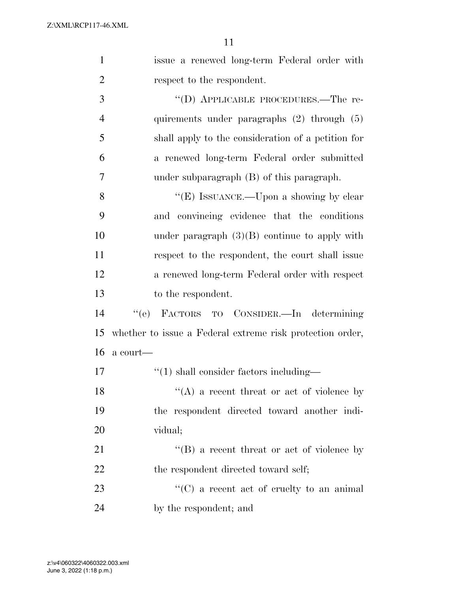| $\mathbf{1}$   | issue a renewed long-term Federal order with              |
|----------------|-----------------------------------------------------------|
| $\overline{2}$ | respect to the respondent.                                |
| 3              | "(D) APPLICABLE PROCEDURES.—The re-                       |
| $\overline{4}$ | quirements under paragraphs (2) through (5)               |
| 5              | shall apply to the consideration of a petition for        |
| 6              | a renewed long-term Federal order submitted               |
| 7              | under subparagraph $(B)$ of this paragraph.               |
| 8              | "(E) ISSUANCE.—Upon a showing by clear                    |
| 9              | and convincing evidence that the conditions               |
| 10             | under paragraph $(3)(B)$ continue to apply with           |
| 11             | respect to the respondent, the court shall issue          |
| 12             | a renewed long-term Federal order with respect            |
| 13             | to the respondent.                                        |
| 14             | "(e) FACTORS TO CONSIDER.—In determining                  |
| 15             | whether to issue a Federal extreme risk protection order, |
| 16             | a court—                                                  |
| 17             | $"(1)$ shall consider factors including—                  |
| 18             | $\lq($ A) a recent threat or act of violence by           |
| 19             | the respondent directed toward another indi-              |
| 20             | vidual;                                                   |
| 21             | "(B) a recent threat or act of violence by                |
| 22             | the respondent directed toward self;                      |
| 23             |                                                           |
|                | $\lq\lq$ (C) a recent act of cruelty to an animal         |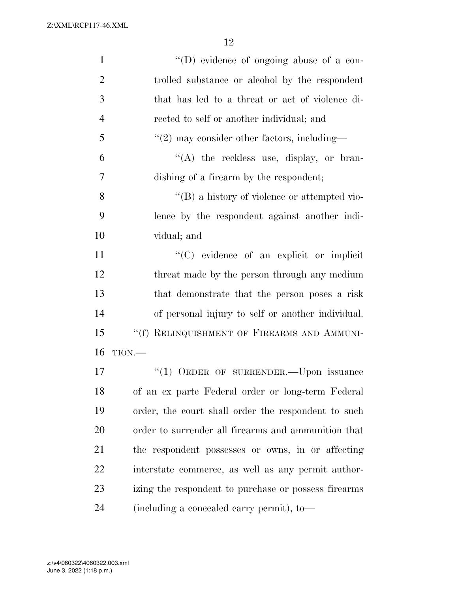| $\mathbf{1}$   | $\lq\lq$ (D) evidence of ongoing abuse of a con-     |
|----------------|------------------------------------------------------|
| $\overline{2}$ | trolled substance or alcohol by the respondent       |
| 3              | that has led to a threat or act of violence di-      |
| $\overline{4}$ | rected to self or another individual; and            |
| 5              | $\lq(2)$ may consider other factors, including—      |
| 6              | $\lq\lq$ the reckless use, display, or bran-         |
| 7              | dishing of a firearm by the respondent;              |
| 8              | $\lq\lq (B)$ a history of violence or attempted vio- |
| 9              | lence by the respondent against another indi-        |
| 10             | vidual; and                                          |
| 11             | "(C) evidence of an explicit or implicit             |
| 12             | threat made by the person through any medium         |
| 13             | that demonstrate that the person poses a risk        |
| 14             | of personal injury to self or another individual.    |
| 15             | "(f) RELINQUISHMENT OF FIREARMS AND AMMUNI-          |
| 16             | TION.                                                |
| 17             | "(1) ORDER OF SURRENDER. - Upon issuance             |
| 18             | of an ex parte Federal order or long-term Federal    |
| 19             | order, the court shall order the respondent to such  |
| 20             | order to surrender all firearms and ammunition that  |
| 21             | the respondent possesses or owns, in or affecting    |
| 22             | interstate commerce, as well as any permit author-   |
| 23             | izing the respondent to purchase or possess firearms |
| 24             | (including a concealed carry permit), to-            |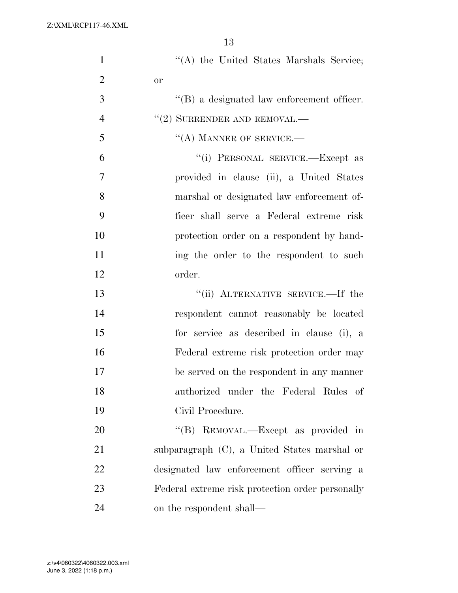| $\mathbf{1}$   | "(A) the United States Marshals Service;           |
|----------------|----------------------------------------------------|
| $\overline{2}$ | <b>or</b>                                          |
| 3              | $\lq\lq (B)$ a designated law enforcement officer. |
| $\overline{4}$ | $``(2)$ SURRENDER AND REMOVAL.—                    |
| 5              | $\lq\lq$ (A) MANNER OF SERVICE.—                   |
| 6              | "(i) PERSONAL SERVICE.—Except as                   |
| 7              | provided in clause (ii), a United States           |
| 8              | marshal or designated law enforcement of-          |
| 9              | ficer shall serve a Federal extreme risk           |
| 10             | protection order on a respondent by hand-          |
| 11             | ing the order to the respondent to such            |
| 12             | order.                                             |
| 13             | "(ii) ALTERNATIVE SERVICE.—If the                  |
| 14             | respondent cannot reasonably be located            |
| 15             | for service as described in clause (i), a          |
| 16             | Federal extreme risk protection order may          |
| 17             | be served on the respondent in any manner          |
| 18             | authorized under the Federal Rules of              |
| 19             | Civil Procedure.                                   |
| 20             | "(B) REMOVAL.—Except as provided in                |
| 21             | subparagraph (C), a United States marshal or       |
| 22             | designated law enforcement officer serving a       |
| 23             | Federal extreme risk protection order personally   |
| 24             | on the respondent shall—                           |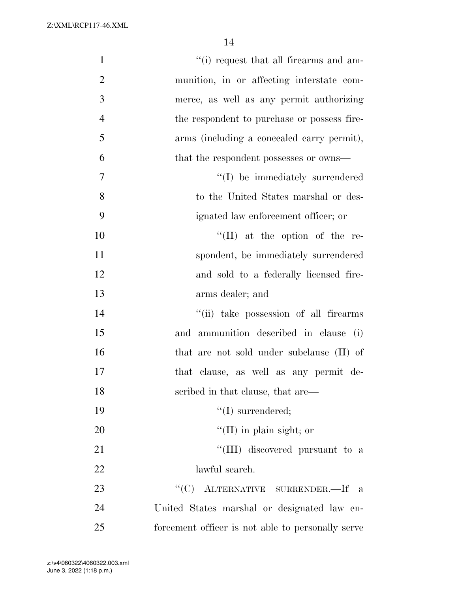| $\mathbf{1}$   | "(i) request that all firearms and am-            |
|----------------|---------------------------------------------------|
| $\overline{2}$ | munition, in or affecting interstate com-         |
| 3              | merce, as well as any permit authorizing          |
| $\overline{4}$ | the respondent to purchase or possess fire-       |
| 5              | arms (including a concealed carry permit),        |
| 6              | that the respondent possesses or owns—            |
| $\tau$         | "(I) be immediately surrendered                   |
| 8              | to the United States marshal or des-              |
| 9              | ignated law enforcement officer; or               |
| 10             | $\lq\lq$ (II) at the option of the re-            |
| 11             | spondent, be immediately surrendered              |
| 12             | and sold to a federally licensed fire-            |
| 13             | arms dealer; and                                  |
| 14             | "(ii) take possession of all firearms             |
| 15             | and ammunition described in clause (i)            |
| 16             | that are not sold under subclause (II) of         |
| 17             | that clause, as well as any permit de-            |
| 18             | scribed in that clause, that are—                 |
| 19             | $\lq\lq$ (I) surrendered;                         |
| 20             | $\lq\lq$ (II) in plain sight; or                  |
| 21             | "(III) discovered pursuant to a                   |
| 22             | lawful search.                                    |
| 23             | "(C) ALTERNATIVE SURRENDER.—If a                  |
| 24             | United States marshal or designated law en-       |
| 25             | forcement officer is not able to personally serve |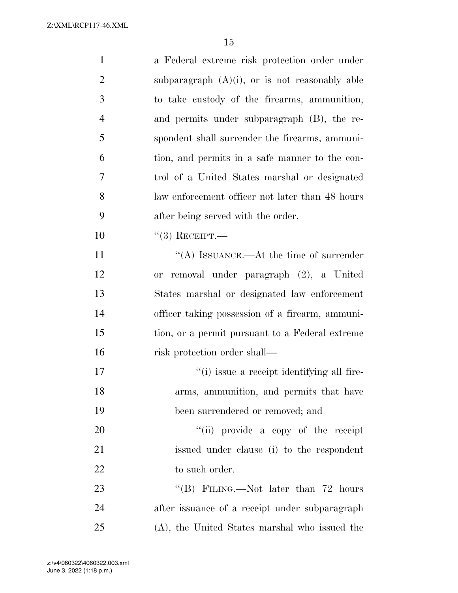| $\mathbf{1}$   | a Federal extreme risk protection order under     |
|----------------|---------------------------------------------------|
| $\overline{2}$ | subparagraph $(A)(i)$ , or is not reasonably able |
| 3              | to take custody of the firearms, ammunition,      |
| $\overline{4}$ | and permits under subparagraph (B), the re-       |
| 5              | spondent shall surrender the firearms, ammuni-    |
| 6              | tion, and permits in a safe manner to the con-    |
| 7              | trol of a United States marshal or designated     |
| 8              | law enforcement officer not later than 48 hours   |
| 9              | after being served with the order.                |
| 10             | $``(3)$ RECEIPT.—                                 |
| 11             | "(A) ISSUANCE.—At the time of surrender           |
| 12             | removal under paragraph (2), a United<br>or       |
| 13             | States marshal or designated law enforcement      |
| 14             | officer taking possession of a firearm, ammuni-   |
| 15             | tion, or a permit pursuant to a Federal extreme   |
| 16             | risk protection order shall—                      |
| 17             | "(i) issue a receipt identifying all fire-        |
| 18             | arms, ammunition, and permits that have           |
| 19             | been surrendered or removed; and                  |
| 20             | "(ii) provide a copy of the receipt               |
| 21             | issued under clause (i) to the respondent         |
| 22             | to such order.                                    |
| 23             | "(B) FILING.—Not later than $72$ hours            |
| 24             | after issuance of a receipt under subparagraph    |
| 25             | (A), the United States marshal who issued the     |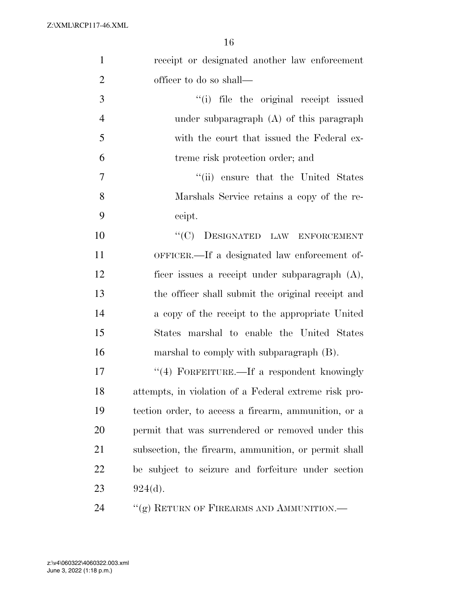| $\mathbf{1}$   | receipt or designated another law enforcement         |
|----------------|-------------------------------------------------------|
| $\overline{2}$ | officer to do so shall—                               |
| 3              | "(i) file the original receipt issued                 |
| $\overline{4}$ | under subparagraph (A) of this paragraph              |
| 5              | with the court that issued the Federal ex-            |
| 6              | treme risk protection order; and                      |
| 7              | "(ii) ensure that the United States                   |
| 8              | Marshals Service retains a copy of the re-            |
| 9              | ceipt.                                                |
| 10             | "(C) DESIGNATED LAW ENFORCEMENT                       |
| 11             | OFFICER.—If a designated law enforcement of-          |
| 12             | ficer issues a receipt under subparagraph (A),        |
| 13             | the officer shall submit the original receipt and     |
| 14             | a copy of the receipt to the appropriate United       |
| 15             | States marshal to enable the United States            |
| 16             | marshal to comply with subparagraph (B).              |
| 17             | "(4) FORFEITURE.—If a respondent knowingly            |
| 18             | attempts, in violation of a Federal extreme risk pro- |
| 19             | tection order, to access a firearm, ammunition, or a  |
| 20             | permit that was surrendered or removed under this     |
| 21             | subsection, the firearm, ammunition, or permit shall  |
| 22             | be subject to seizure and forfeiture under section    |
| 23             | 924(d).                                               |
| 24             | "(g) RETURN OF FIREARMS AND AMMUNITION.—              |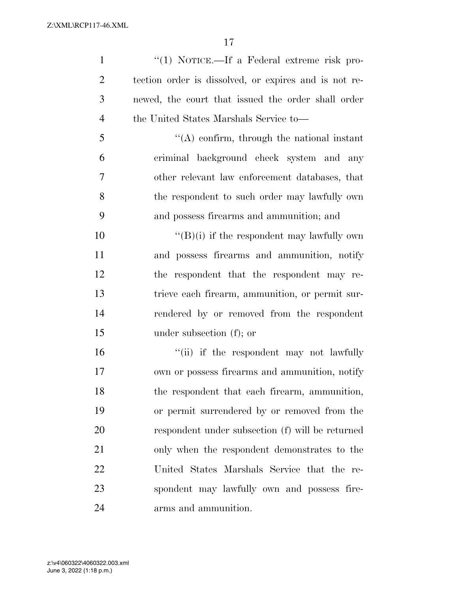1 ''(1) NOTICE.—If a Federal extreme risk pro- tection order is dissolved, or expires and is not re- newed, the court that issued the order shall order the United States Marshals Service to—

 ''(A) confirm, through the national instant criminal background check system and any other relevant law enforcement databases, that the respondent to such order may lawfully own and possess firearms and ammunition; and

 $"({\rm B})$ (i) if the respondent may lawfully own and possess firearms and ammunition, notify the respondent that the respondent may re- trieve each firearm, ammunition, or permit sur- rendered by or removed from the respondent under subsection (f); or

16 ''(ii) if the respondent may not lawfully own or possess firearms and ammunition, notify the respondent that each firearm, ammunition, or permit surrendered by or removed from the respondent under subsection (f) will be returned only when the respondent demonstrates to the United States Marshals Service that the re- spondent may lawfully own and possess fire-arms and ammunition.

June 3, 2022 (1:18 p.m.) z:\v4\060322\4060322.003.xml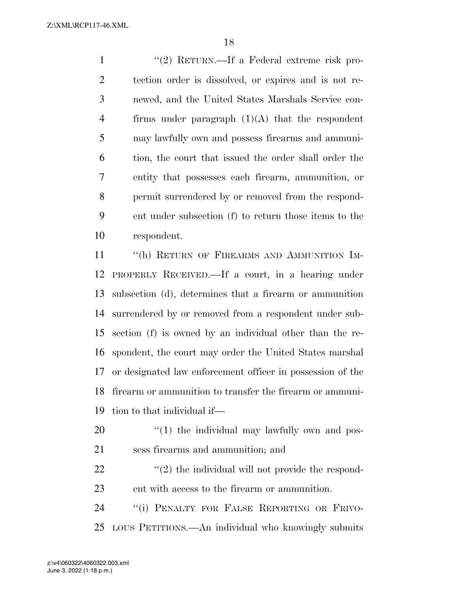1 ''(2) RETURN.—If a Federal extreme risk pro- tection order is dissolved, or expires and is not re- newed, and the United States Marshals Service con-4 firms under paragraph  $(1)(A)$  that the respondent may lawfully own and possess firearms and ammuni- tion, the court that issued the order shall order the entity that possesses each firearm, ammunition, or permit surrendered by or removed from the respond- ent under subsection (f) to return those items to the respondent.

11 "(h) RETURN OF FIREARMS AND AMMUNITION IM- PROPERLY RECEIVED.—If a court, in a hearing under subsection (d), determines that a firearm or ammunition surrendered by or removed from a respondent under sub- section (f) is owned by an individual other than the re- spondent, the court may order the United States marshal or designated law enforcement officer in possession of the firearm or ammunition to transfer the firearm or ammuni-tion to that individual if—

- 20  $\frac{1}{20}$  (1) the individual may lawfully own and pos-sess firearms and ammunition; and
- $\mathfrak{L}(2)$  the individual will not provide the respond-ent with access to the firearm or ammunition.

 ''(i) PENALTY FOR FALSE REPORTING OR FRIVO-LOUS PETITIONS.—An individual who knowingly submits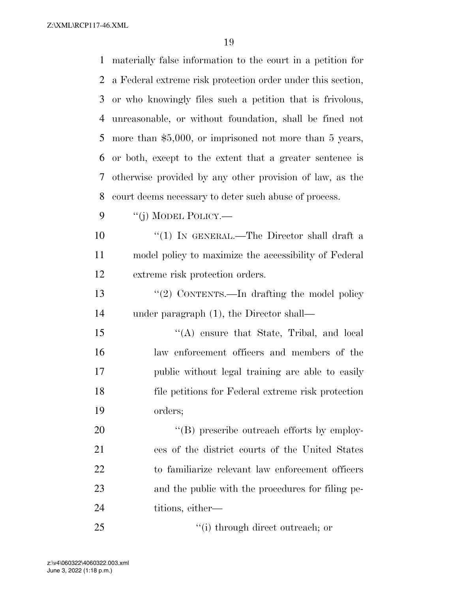| 1  | materially false information to the court in a petition for |
|----|-------------------------------------------------------------|
| 2  | a Federal extreme risk protection order under this section, |
| 3  | or who knowingly files such a petition that is frivolous,   |
| 4  | unreasonable, or without foundation, shall be fined not     |
| 5  | more than $$5,000$ , or imprisoned not more than 5 years,   |
| 6  | or both, except to the extent that a greater sentence is    |
| 7  | otherwise provided by any other provision of law, as the    |
| 8  | court deems necessary to deter such abuse of process.       |
| 9  | "(j) MODEL POLICY.—                                         |
| 10 | "(1) IN GENERAL.—The Director shall draft a                 |
| 11 | model policy to maximize the accessibility of Federal       |
| 12 | extreme risk protection orders.                             |
| 13 | "(2) CONTENTS.—In drafting the model policy                 |
| 14 | under paragraph $(1)$ , the Director shall—                 |
| 15 | $\lq\lq$ ensure that State, Tribal, and local               |
| 16 | law enforcement officers and members of the                 |
| 17 | public without legal training are able to easily            |
| 18 | file petitions for Federal extreme risk protection          |
| 19 | orders;                                                     |
| 20 | "(B) prescribe outreach efforts by employ-                  |
| 21 | ees of the district courts of the United States             |
| 22 | to familiarize relevant law enforcement officers            |
| 23 | and the public with the procedures for filing pe-           |
| 24 | titions, either—                                            |
| 25 | "(i) through direct outreach; or                            |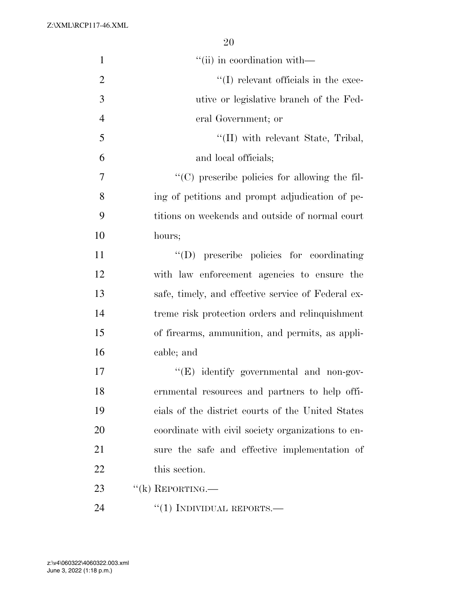| $\mathbf{1}$   | "(ii) in coordination with—                        |
|----------------|----------------------------------------------------|
| $\overline{2}$ | $\lq\lq$ (I) relevant officials in the exec-       |
| 3              | utive or legislative branch of the Fed-            |
| $\overline{4}$ | eral Government; or                                |
| 5              | $\lq$ (II) with relevant State, Tribal,            |
| 6              | and local officials;                               |
| 7              | "(C) prescribe policies for allowing the fil-      |
| 8              | ing of petitions and prompt adjudication of pe-    |
| 9              | titions on weekends and outside of normal court    |
| 10             | hours;                                             |
| 11             | "(D) prescribe policies for coordinating           |
| 12             | with law enforcement agencies to ensure the        |
| 13             | safe, timely, and effective service of Federal ex- |
| 14             | treme risk protection orders and relinquishment    |
| 15             | of firearms, ammunition, and permits, as appli-    |
| 16             | cable; and                                         |
| 17             | " $(E)$ identify governmental and non-gov-         |
| 18             | ernmental resources and partners to help offi-     |
| 19             | cials of the district courts of the United States  |
| 20             | coordinate with civil society organizations to en- |
| 21             | sure the safe and effective implementation of      |
| 22             | this section.                                      |
| 23             | $``$ (k) REPORTING.—                               |
| 24             | "(1) INDIVIDUAL REPORTS.—                          |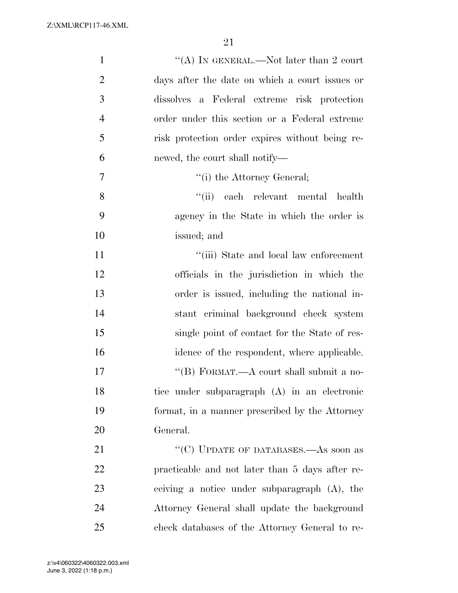| $\mathbf{1}$   | "(A) IN GENERAL.—Not later than 2 court         |
|----------------|-------------------------------------------------|
| $\overline{2}$ | days after the date on which a court issues or  |
| 3              | dissolves a Federal extreme risk protection     |
| $\overline{4}$ | order under this section or a Federal extreme   |
| 5              | risk protection order expires without being re- |
| 6              | newed, the court shall notify—                  |
| 7              | "(i) the Attorney General;                      |
| 8              | "(ii) each relevant mental health               |
| 9              | agency in the State in which the order is       |
| 10             | issued; and                                     |
| 11             | "(iii) State and local law enforcement          |
| 12             | officials in the jurisdiction in which the      |
| 13             | order is issued, including the national in-     |
| 14             | stant criminal background check system          |
| 15             | single point of contact for the State of res-   |
| 16             | idence of the respondent, where applicable.     |
| 17             | "(B) FORMAT.—A court shall submit a no-         |
| 18             | tice under subparagraph (A) in an electronic    |
| 19             | format, in a manner prescribed by the Attorney  |
| 20             | General.                                        |
| 21             | "(C) UPDATE OF DATABASES.—As soon as            |
| 22             | practicable and not later than 5 days after re- |
| 23             | ceiving a notice under subparagraph (A), the    |
| 24             | Attorney General shall update the background    |
| 25             | check databases of the Attorney General to re-  |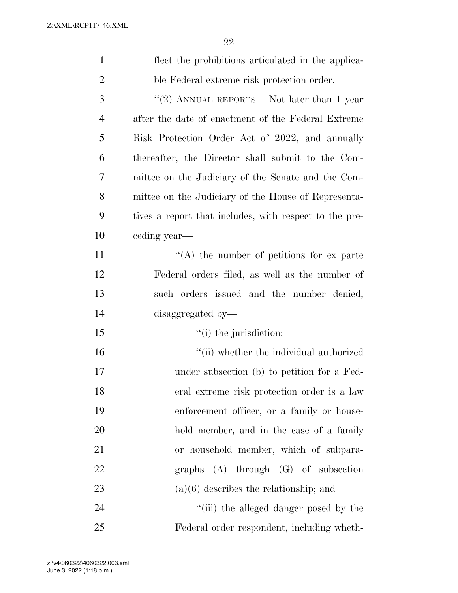| $\mathbf{1}$   | flect the prohibitions articulated in the applica-     |
|----------------|--------------------------------------------------------|
| $\overline{c}$ | ble Federal extreme risk protection order.             |
| 3              | "(2) ANNUAL REPORTS.—Not later than 1 year             |
| $\overline{4}$ | after the date of enactment of the Federal Extreme     |
| 5              | Risk Protection Order Act of 2022, and annually        |
| 6              | thereafter, the Director shall submit to the Com-      |
| 7              | mittee on the Judiciary of the Senate and the Com-     |
| 8              | mittee on the Judiciary of the House of Representa-    |
| 9              | tives a report that includes, with respect to the pre- |
| 10             | eeding year—                                           |
| 11             | $\lq\lq$ the number of petitions for ex parte          |
| 12             | Federal orders filed, as well as the number of         |
| 13             | such orders issued and the number denied,              |
| 14             | disaggregated by-                                      |
| 15             | $"(i)$ the jurisdiction;                               |
| 16             | "(ii) whether the individual authorized                |
| 17             | under subsection (b) to petition for a Fed-            |
| 18             | eral extreme risk protection order is a law            |
| 19             | enforcement officer, or a family or house-             |
| 20             | hold member, and in the case of a family               |
| 21             | or household member, which of subpara-                 |
| 22             | graphs $(A)$ through $(G)$ of subsection               |
| 23             | $(a)(6)$ describes the relationship; and               |
| 24             | "(iii) the alleged danger posed by the                 |
| 25             | Federal order respondent, including wheth-             |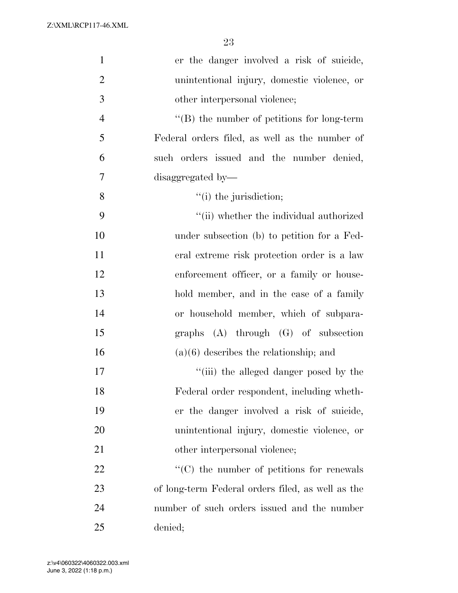| $\mathbf{1}$   | er the danger involved a risk of suicide,         |
|----------------|---------------------------------------------------|
| $\overline{2}$ | unintentional injury, domestic violence, or       |
| 3              | other interpersonal violence;                     |
| $\overline{4}$ | $\lq\lq$ the number of petitions for long-term    |
| 5              | Federal orders filed, as well as the number of    |
| 6              | such orders issued and the number denied,         |
| 7              | disaggregated by-                                 |
| 8              | $"(i)$ the jurisdiction;                          |
| 9              | "(ii) whether the individual authorized           |
| 10             | under subsection (b) to petition for a Fed-       |
| 11             | eral extreme risk protection order is a law       |
| 12             | enforcement officer, or a family or house-        |
| 13             | hold member, and in the case of a family          |
| 14             | or household member, which of subpara-            |
| 15             | graphs $(A)$ through $(G)$ of subsection          |
| 16             | $(a)(6)$ describes the relationship; and          |
| 17             | "(iii) the alleged danger posed by the            |
| 18             | Federal order respondent, including wheth-        |
| 19             | er the danger involved a risk of suicide,         |
| 20             | unintentional injury, domestic violence, or       |
| 21             | other interpersonal violence;                     |
| 22             | $\cdot$ (C) the number of petitions for renewals  |
| 23             | of long-term Federal orders filed, as well as the |
| 24             | number of such orders issued and the number       |
| 25             | denied;                                           |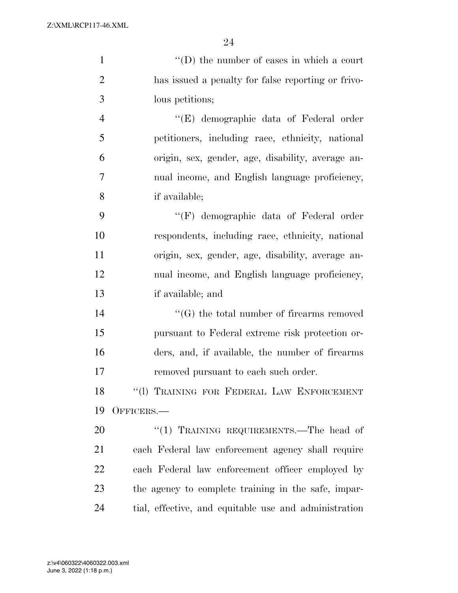1 ''(D) the number of cases in which a court

| $\mathbf{2}$   | has issued a penalty for false reporting or frivo-    |
|----------------|-------------------------------------------------------|
| 3              | lous petitions;                                       |
| $\overline{4}$ | "(E) demographic data of Federal order                |
| 5              | petitioners, including race, ethnicity, national      |
| 6              | origin, sex, gender, age, disability, average an-     |
| 7              | nual income, and English language proficiency,        |
| 8              | if available;                                         |
| 9              | "(F) demographic data of Federal order                |
| 10             | respondents, including race, ethnicity, national      |
| 11             | origin, sex, gender, age, disability, average an-     |
| 12             | nual income, and English language proficiency,        |
| 13             | if available; and                                     |
| 14             | $\lq\lq(G)$ the total number of firearms removed      |
| 15             | pursuant to Federal extreme risk protection or-       |
| 16             | ders, and, if available, the number of firearms       |
| 17             | removed pursuant to each such order.                  |
| 18             | "(1) TRAINING FOR FEDERAL LAW ENFORCEMENT             |
| 19             | OFFICERS.                                             |
| 20             | "(1) TRAINING REQUIREMENTS.—The head of               |
| 21             | each Federal law enforcement agency shall require     |
| 22             | each Federal law enforcement officer employed by      |
| 23             | the agency to complete training in the safe, impar-   |
| 24             | tial, effective, and equitable use and administration |
|                |                                                       |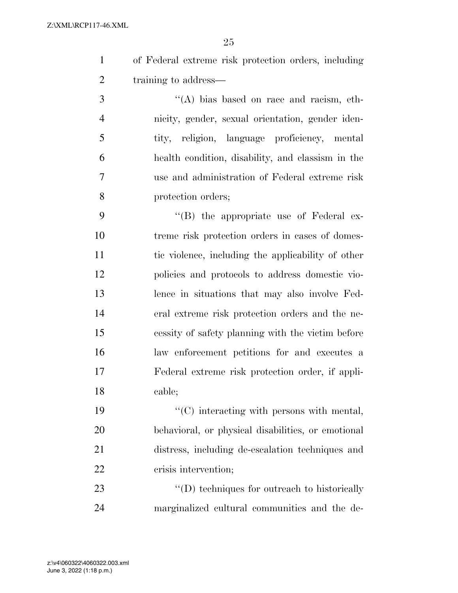of Federal extreme risk protection orders, including 2 training to address—

 ''(A) bias based on race and racism, eth- nicity, gender, sexual orientation, gender iden- tity, religion, language proficiency, mental health condition, disability, and classism in the use and administration of Federal extreme risk protection orders;

 $\langle$  (B) the appropriate use of Federal ex- treme risk protection orders in cases of domes- tic violence, including the applicability of other policies and protocols to address domestic vio- lence in situations that may also involve Fed- eral extreme risk protection orders and the ne- cessity of safety planning with the victim before law enforcement petitions for and executes a Federal extreme risk protection order, if appli-cable;

 $\cdot$  (C) interacting with persons with mental, behavioral, or physical disabilities, or emotional distress, including de-escalation techniques and crisis intervention;

23  $\qquad$  ''(D) techniques for outreach to historically marginalized cultural communities and the de-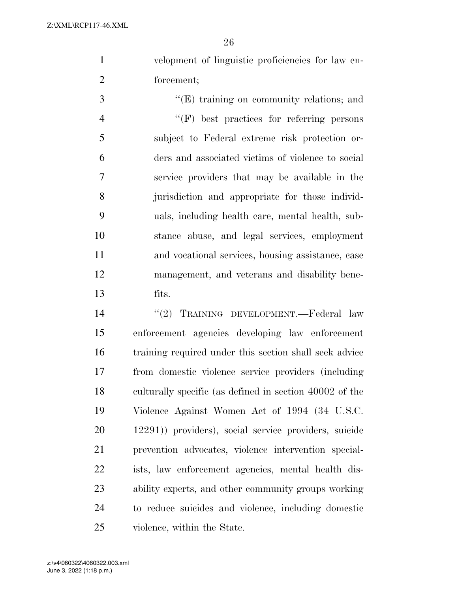velopment of linguistic proficiencies for law en-forcement;

 $\cdot$  (E) training on community relations; and ''(F) best practices for referring persons subject to Federal extreme risk protection or- ders and associated victims of violence to social service providers that may be available in the jurisdiction and appropriate for those individ- uals, including health care, mental health, sub- stance abuse, and legal services, employment and vocational services, housing assistance, case management, and veterans and disability bene-fits.

 ''(2) TRAINING DEVELOPMENT.—Federal law enforcement agencies developing law enforcement training required under this section shall seek advice from domestic violence service providers (including culturally specific (as defined in section 40002 of the Violence Against Women Act of 1994 (34 U.S.C. 12291)) providers), social service providers, suicide prevention advocates, violence intervention special- ists, law enforcement agencies, mental health dis- ability experts, and other community groups working to reduce suicides and violence, including domestic violence, within the State.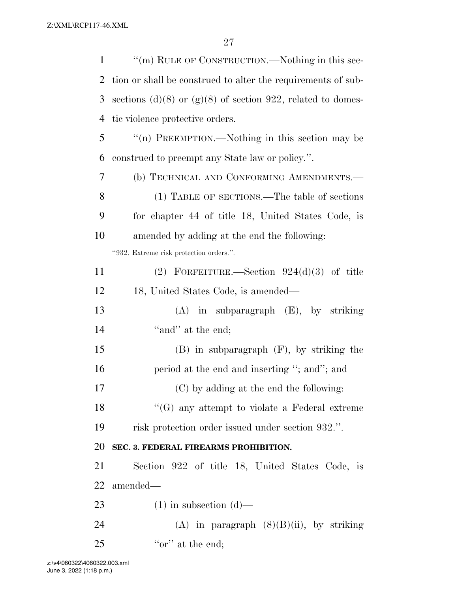| $\mathbf{1}$   | "(m) RULE OF CONSTRUCTION.—Nothing in this sec-              |
|----------------|--------------------------------------------------------------|
| 2              | tion or shall be construed to alter the requirements of sub- |
| 3              | sections (d)(8) or (g)(8) of section 922, related to domes-  |
| $\overline{4}$ | tic violence protective orders.                              |
| 5              | "(n) PREEMPTION.—Nothing in this section may be              |
| 6              | construed to preempt any State law or policy.".              |
| 7              | (b) TECHNICAL AND CONFORMING AMENDMENTS.-                    |
| 8              | (1) TABLE OF SECTIONS.—The table of sections                 |
| 9              | for chapter 44 of title 18, United States Code, is           |
| 10             | amended by adding at the end the following:                  |
|                | "932. Extreme risk protection orders.".                      |
| 11             | (2) FORFEITURE.—Section $924(d)(3)$ of title                 |
| 12             | 18, United States Code, is amended—                          |
| 13             | $(A)$ in subparagraph $(E)$ , by striking                    |
| 14             | "and" at the end;                                            |
| 15             | $(B)$ in subparagraph $(F)$ , by striking the                |
| 16             | period at the end and inserting "; and"; and                 |
| 17             | (C) by adding at the end the following:                      |
| 18             | $\lq\lq(G)$ any attempt to violate a Federal extreme         |
| 19             | risk protection order issued under section 932.".            |
| 20             | SEC. 3. FEDERAL FIREARMS PROHIBITION.                        |
| 21             | Section 922 of title 18, United States Code, is              |
| 22             | amended—                                                     |
| 23             | $(1)$ in subsection $(d)$ —                                  |
| 24             | (A) in paragraph $(8)(B)(ii)$ , by striking                  |
| 25             | "or" at the end;                                             |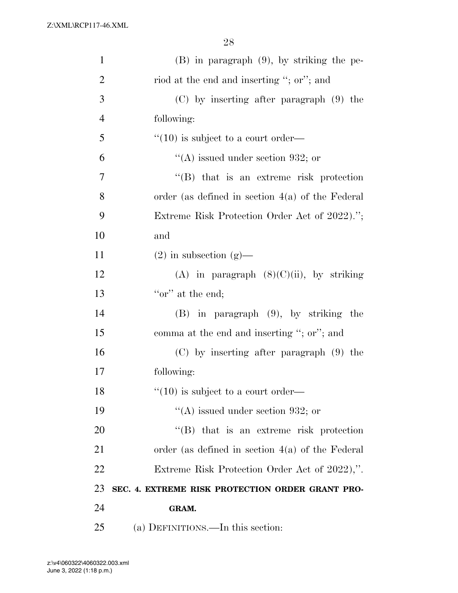| $\mathbf{1}$   | $(B)$ in paragraph $(9)$ , by striking the pe-     |
|----------------|----------------------------------------------------|
| $\overline{2}$ | riod at the end and inserting "; or"; and          |
| 3              | $(C)$ by inserting after paragraph $(9)$ the       |
| $\overline{4}$ | following:                                         |
| 5              | $\cdot$ (10) is subject to a court order—          |
| 6              | "(A) issued under section 932; or                  |
| 7              | "(B) that is an extreme risk protection            |
| 8              | order (as defined in section $4(a)$ of the Federal |
| 9              | Extreme Risk Protection Order Act of 2022).";      |
| 10             | and                                                |
| 11             | $(2)$ in subsection $(g)$ —                        |
| 12             | (A) in paragraph $(8)(C)(ii)$ , by striking        |
| 13             | "or" at the end;                                   |
| 14             | $(B)$ in paragraph $(9)$ , by striking the         |
| 15             | comma at the end and inserting "; or"; and         |
| 16             | $(C)$ by inserting after paragraph $(9)$ the       |
| 17             | following:                                         |
| 18             | $``(10)$ is subject to a court order—              |
| 19             | "(A) issued under section 932; or                  |
| 20             | "(B) that is an extreme risk protection            |
| 21             | order (as defined in section $4(a)$ of the Federal |
| 22             | Extreme Risk Protection Order Act of 2022),".      |
| 23             | SEC. 4. EXTREME RISK PROTECTION ORDER GRANT PRO-   |
| 24             | GRAM.                                              |
| 25             | (a) DEFINITIONS.—In this section:                  |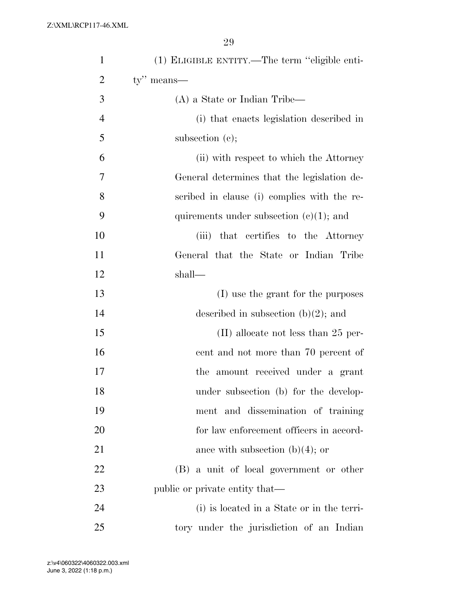| $\mathbf{1}$   | (1) ELIGIBLE ENTITY.—The term "eligible enti- |
|----------------|-----------------------------------------------|
| $\overline{2}$ | $ty''$ means—                                 |
| 3              | $(A)$ a State or Indian Tribe—                |
| $\overline{4}$ | (i) that enacts legislation described in      |
| 5              | subsection (c);                               |
| 6              | (ii) with respect to which the Attorney       |
| 7              | General determines that the legislation de-   |
| 8              | scribed in clause (i) complies with the re-   |
| 9              | quirements under subsection $(c)(1)$ ; and    |
| 10             | (iii) that certifies to the Attorney          |
| 11             | General that the State or Indian Tribe        |
| 12             | shall—                                        |
| 13             | (I) use the grant for the purposes            |
| 14             | described in subsection $(b)(2)$ ; and        |
| 15             | $(II)$ allocate not less than 25 per-         |
| 16             | cent and not more than 70 percent of          |
| 17             | the amount received under a grant             |
| 18             | under subsection (b) for the develop-         |
| 19             | ment and dissemination of training            |
| 20             | for law enforcement officers in accord-       |
| 21             | ance with subsection $(b)(4)$ ; or            |
| 22             | (B) a unit of local government or other       |
| 23             | public or private entity that—                |
| 24             | (i) is located in a State or in the terri-    |
| 25             | tory under the jurisdiction of an Indian      |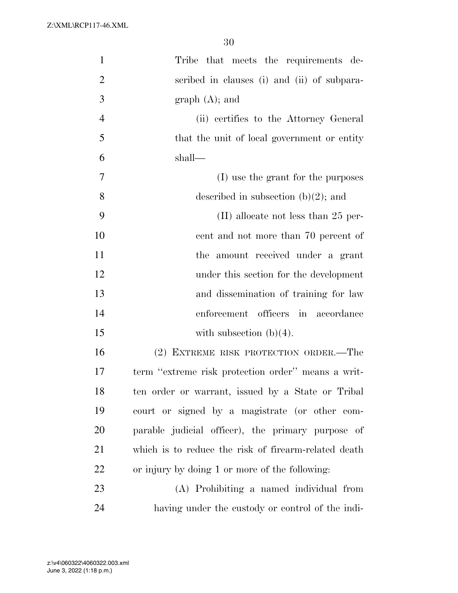| $\mathbf{1}$   | Tribe that meets the requirements de-                |
|----------------|------------------------------------------------------|
| $\overline{2}$ | scribed in clauses (i) and (ii) of subpara-          |
| 3              | $graph(A);$ and                                      |
| $\overline{4}$ | (ii) certifies to the Attorney General               |
| 5              | that the unit of local government or entity          |
| 6              | shall—                                               |
| 7              | (I) use the grant for the purposes                   |
| 8              | described in subsection $(b)(2)$ ; and               |
| 9              | $(II)$ allocate not less than 25 per-                |
| 10             | cent and not more than 70 percent of                 |
| 11             | the amount received under a grant                    |
| 12             | under this section for the development               |
| 13             | and dissemination of training for law                |
| 14             | enforcement officers in accordance                   |
| 15             | with subsection $(b)(4)$ .                           |
| 16             | (2) EXTREME RISK PROTECTION ORDER.-The               |
| 17             | term "extreme risk protection order" means a writ-   |
| 18             | ten order or warrant, issued by a State or Tribal    |
| 19             | court or signed by a magistrate (or other com-       |
| 20             | parable judicial officer), the primary purpose of    |
| 21             | which is to reduce the risk of firearm-related death |
| 22             | or injury by doing 1 or more of the following:       |
| 23             | (A) Prohibiting a named individual from              |
| 24             | having under the custody or control of the indi-     |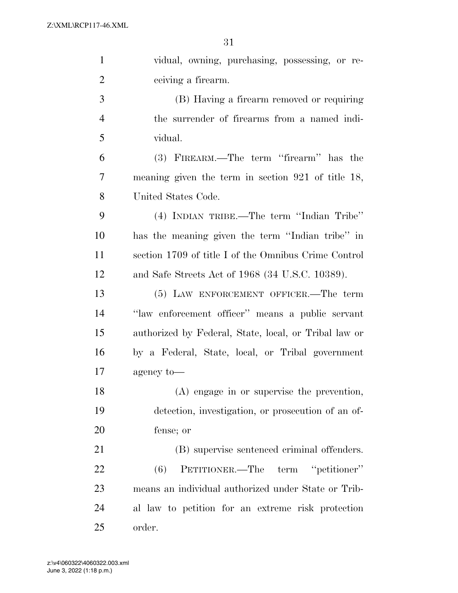| $\mathbf{1}$   | vidual, owning, purchasing, possessing, or re-        |
|----------------|-------------------------------------------------------|
| $\overline{2}$ | ceiving a firearm.                                    |
| 3              | (B) Having a firearm removed or requiring             |
| $\overline{4}$ | the surrender of firearms from a named indi-          |
| 5              | vidual.                                               |
| 6              | (3) FIREARM.—The term "firearm" has the               |
| 7              | meaning given the term in section $921$ of title 18,  |
| 8              | United States Code.                                   |
| 9              | (4) INDIAN TRIBE.—The term "Indian Tribe"             |
| 10             | has the meaning given the term "Indian tribe" in      |
| 11             | section 1709 of title I of the Omnibus Crime Control  |
| 12             | and Safe Streets Act of 1968 (34 U.S.C. 10389).       |
| 13             | (5) LAW ENFORCEMENT OFFICER.—The term                 |
| 14             | "law enforcement officer" means a public servant      |
| 15             | authorized by Federal, State, local, or Tribal law or |
| 16             | by a Federal, State, local, or Tribal government      |
| 17             | agency to-                                            |
| 18             | (A) engage in or supervise the prevention,            |
| 19             | detection, investigation, or prosecution of an of-    |
| 20             | fense; or                                             |
| 21             | (B) supervise sentenced criminal offenders.           |
| 22             | PETITIONER.—The term "petitioner"<br>(6)              |
| 23             | means an individual authorized under State or Trib-   |
| 24             | al law to petition for an extreme risk protection     |
| 25             | order.                                                |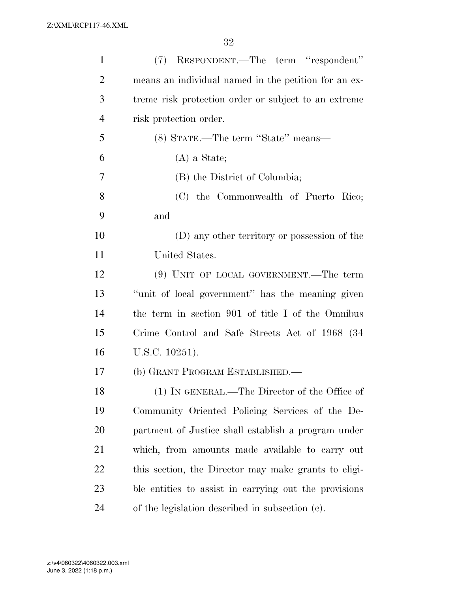| $\mathbf{1}$   | (7) RESPONDENT.—The term "respondent"                 |
|----------------|-------------------------------------------------------|
| $\overline{2}$ | means an individual named in the petition for an ex-  |
| 3              | treme risk protection order or subject to an extreme  |
| $\overline{4}$ | risk protection order.                                |
| 5              | (8) STATE.—The term "State" means—                    |
| 6              | $(A)$ a State;                                        |
| 7              | (B) the District of Columbia;                         |
| 8              | (C) the Commonwealth of Puerto Rico;                  |
| 9              | and                                                   |
| 10             | (D) any other territory or possession of the          |
| 11             | United States.                                        |
| 12             | $(9)$ UNIT OF LOCAL GOVERNMENT.—The term              |
| 13             | "unit of local government" has the meaning given      |
| 14             | the term in section 901 of title I of the Omnibus     |
| 15             | Crime Control and Safe Streets Act of 1968 (34)       |
| 16             | U.S.C. 10251).                                        |
| 17             | (b) GRANT PROGRAM ESTABLISHED.—                       |
| 18             | (1) IN GENERAL.—The Director of the Office of         |
| 19             | Community Oriented Policing Services of the De-       |
| 20             | partment of Justice shall establish a program under   |
| 21             | which, from amounts made available to carry out       |
| 22             | this section, the Director may make grants to eligi-  |
| 23             | ble entities to assist in carrying out the provisions |
| 24             | of the legislation described in subsection (c).       |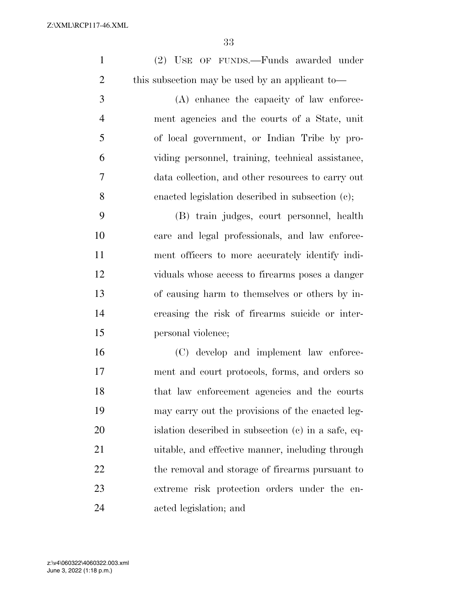| $\mathbf{1}$   | (2) USE OF FUNDS.—Funds awarded under               |
|----------------|-----------------------------------------------------|
| $\overline{2}$ | this subsection may be used by an applicant to-     |
| 3              | (A) enhance the capacity of law enforce-            |
| $\overline{4}$ | ment agencies and the courts of a State, unit       |
| 5              | of local government, or Indian Tribe by pro-        |
| 6              | viding personnel, training, technical assistance,   |
| $\overline{7}$ | data collection, and other resources to carry out   |
| 8              | enacted legislation described in subsection (c);    |
| 9              | (B) train judges, court personnel, health           |
| 10             | care and legal professionals, and law enforce-      |
| 11             | ment officers to more accurately identify indi-     |
| 12             | viduals whose access to firearms poses a danger     |
| 13             | of causing harm to themselves or others by in-      |
| 14             | creasing the risk of firearms suicide or inter-     |
| 15             | personal violence;                                  |
| 16             | (C) develop and implement law enforce-              |
| 17             | ment and court protocols, forms, and orders so      |
| 18             | that law enforcement agencies and the courts        |
| 19             | may carry out the provisions of the enacted leg-    |
| 20             | islation described in subsection (c) in a safe, eq- |
| 21             | uitable, and effective manner, including through    |
| 22             | the removal and storage of firearms pursuant to     |
| 23             | extreme risk protection orders under the en-        |
| 24             | acted legislation; and                              |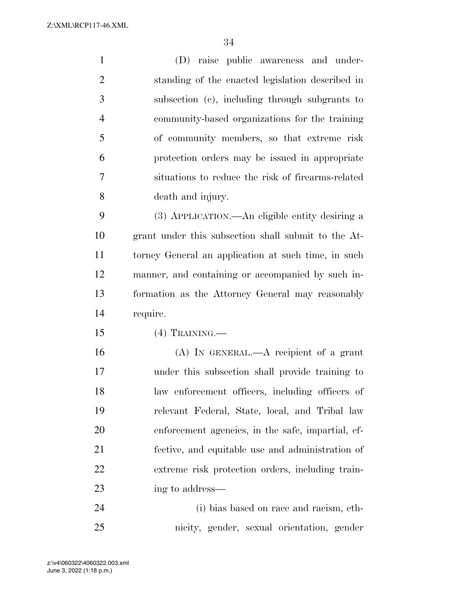(D) raise public awareness and under- standing of the enacted legislation described in subsection (c), including through subgrants to community-based organizations for the training of community members, so that extreme risk protection orders may be issued in appropriate situations to reduce the risk of firearms-related death and injury. (3) APPLICATION.—An eligible entity desiring a grant under this subsection shall submit to the At- torney General an application at such time, in such manner, and containing or accompanied by such in- formation as the Attorney General may reasonably require. (4) TRAINING.— (A) IN GENERAL.—A recipient of a grant under this subsection shall provide training to law enforcement officers, including officers of relevant Federal, State, local, and Tribal law enforcement agencies, in the safe, impartial, ef- fective, and equitable use and administration of extreme risk protection orders, including train-23 ing to address— (i) bias based on race and racism, eth-

nicity, gender, sexual orientation, gender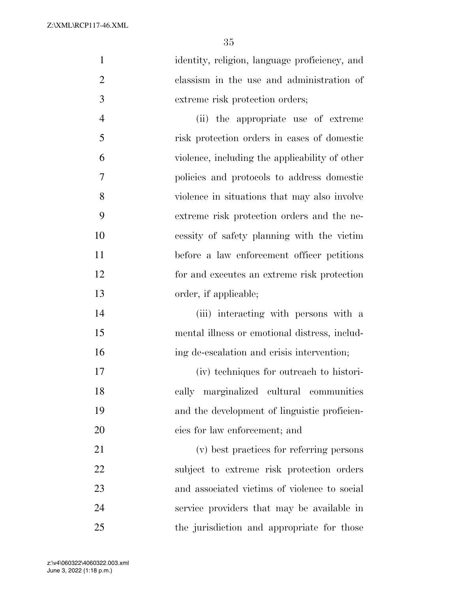identity, religion, language proficiency, and classism in the use and administration of extreme risk protection orders;

 (ii) the appropriate use of extreme risk protection orders in cases of domestic violence, including the applicability of other policies and protocols to address domestic violence in situations that may also involve extreme risk protection orders and the ne- cessity of safety planning with the victim before a law enforcement officer petitions for and executes an extreme risk protection 13 order, if applicable;

 (iii) interacting with persons with a mental illness or emotional distress, includ-ing de-escalation and crisis intervention;

 (iv) techniques for outreach to histori- cally marginalized cultural communities and the development of linguistic proficien-cies for law enforcement; and

 (v) best practices for referring persons subject to extreme risk protection orders and associated victims of violence to social service providers that may be available in the jurisdiction and appropriate for those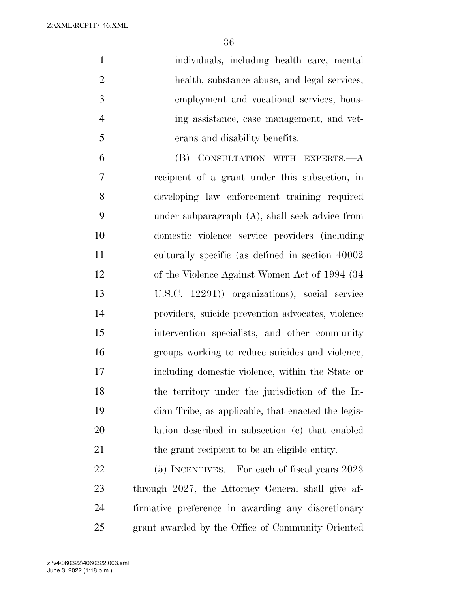| $\mathbf{1}$   | individuals, including health care, mental        |
|----------------|---------------------------------------------------|
| 2              | health, substance abuse, and legal services,      |
| $\overline{3}$ | employment and vocational services, hous-         |
| $\overline{4}$ | ing assistance, case management, and vet-         |
| $\overline{5}$ | erans and disability benefits.                    |
| 6              | (B) CONSULTATION WITH EXPERTS.- A                 |
| 7              | recipient of a grant under this subsection, in    |
| 8              | developing law enforcement training required      |
| 9              | under subparagraph $(A)$ , shall seek advice from |
| 10             | domestic violence service providers (including    |
|                |                                                   |

 recipient of a grant under this subsection, in developing law enforcement training required under subparagraph (A), shall seek advice from domestic violence service providers (including culturally specific (as defined in section 40002 of the Violence Against Women Act of 1994 (34 U.S.C. 12291)) organizations), social service providers, suicide prevention advocates, violence intervention specialists, and other community groups working to reduce suicides and violence, including domestic violence, within the State or the territory under the jurisdiction of the In- dian Tribe, as applicable, that enacted the legis- lation described in subsection (c) that enabled the grant recipient to be an eligible entity.

 (5) INCENTIVES.—For each of fiscal years 2023 through 2027, the Attorney General shall give af- firmative preference in awarding any discretionary grant awarded by the Office of Community Oriented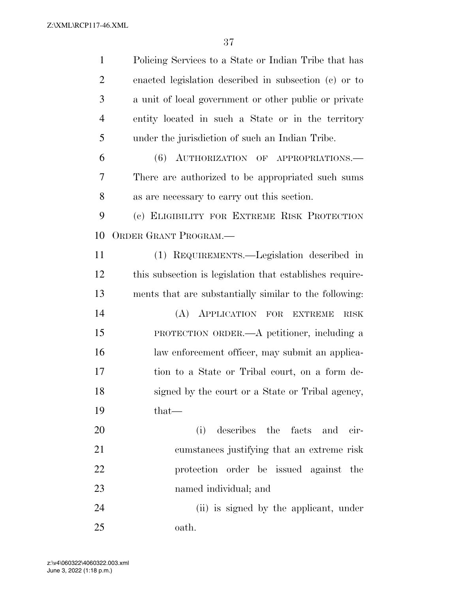| $\mathbf{1}$   | Policing Services to a State or Indian Tribe that has    |
|----------------|----------------------------------------------------------|
| $\overline{2}$ | enacted legislation described in subsection (c) or to    |
| 3              | a unit of local government or other public or private    |
| $\overline{4}$ | entity located in such a State or in the territory       |
| 5              | under the jurisdiction of such an Indian Tribe.          |
| 6              | (6) AUTHORIZATION OF APPROPRIATIONS.                     |
| 7              | There are authorized to be appropriated such sums        |
| 8              | as are necessary to carry out this section.              |
| 9              | (c) ELIGIBILITY FOR EXTREME RISK PROTECTION              |
| 10             | ORDER GRANT PROGRAM.                                     |
| 11             | (1) REQUIREMENTS.—Legislation described in               |
| 12             | this subsection is legislation that establishes require- |
| 13             | ments that are substantially similar to the following:   |
| 14             | (A) APPLICATION FOR EXTREME<br><b>RISK</b>               |
| 15             | PROTECTION ORDER.—A petitioner, including a              |
| 16             | law enforcement officer, may submit an applica-          |
| 17             | tion to a State or Tribal court, on a form de-           |
| 18             | signed by the court or a State or Tribal agency,         |
| 19             | $that-$                                                  |
| 20             | describes the facts<br>(i)<br>and<br>cir-                |
| 21             | cumstances justifying that an extreme risk               |
| 22             | protection order be issued against the                   |
| 23             | named individual; and                                    |
| 24             | (ii) is signed by the applicant, under                   |
| 25             | oath.                                                    |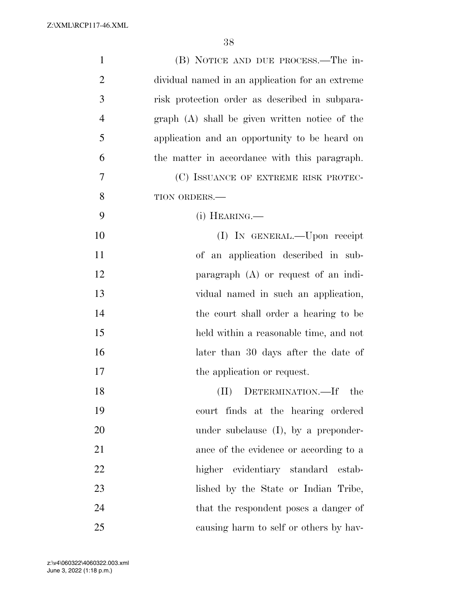| $\mathbf{1}$ | (B) NOTICE AND DUE PROCESS.—The in-             |
|--------------|-------------------------------------------------|
| 2            | dividual named in an application for an extreme |
| 3            | risk protection order as described in subpara-  |
| 4            | graph (A) shall be given written notice of the  |
| 5            | application and an opportunity to be heard on   |
| 6            | the matter in accordance with this paragraph.   |
| 7            | (C) ISSUANCE OF EXTREME RISK PROTEC-            |
| 8            | TION ORDERS.-                                   |
| 9            | $(i)$ HEARING.—                                 |
| 10           | (I) IN GENERAL.—Upon receipt                    |
| 11           | of an application described in sub-             |
| 12           | paragraph $(A)$ or request of an indi-          |
| 13           | vidual named in such an application,            |
| 14           | the court shall order a hearing to be           |
| 15           | held within a reasonable time, and not          |
| 16           | later than 30 days after the date of            |
| 17           | the application or request.                     |
| 18           | (II) DETERMINATION.—If the                      |
| 19           | court finds at the hearing ordered              |
| 20           | under subclause (I), by a preponder-            |
| 21           | ance of the evidence or according to a          |
| 22           | higher evidentiary standard estab-              |
| 23           | lished by the State or Indian Tribe,            |
| 24           | that the respondent poses a danger of           |
| 25           | causing harm to self or others by hav-          |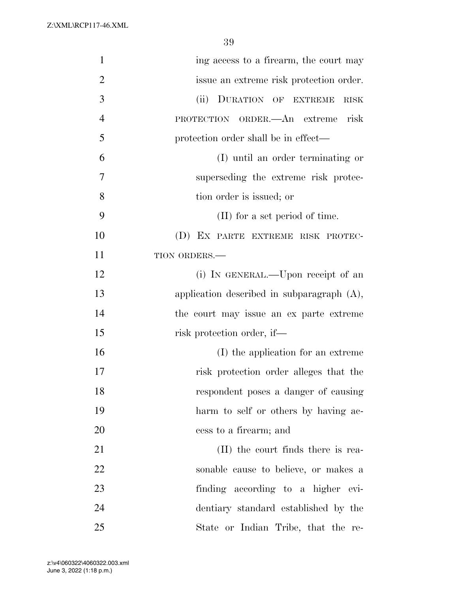| $\mathbf{1}$   | ing access to a firearm, the court may        |
|----------------|-----------------------------------------------|
| $\overline{2}$ | issue an extreme risk protection order.       |
| 3              | (ii) DURATION OF EXTREME<br><b>RISK</b>       |
| $\overline{4}$ | risk<br>PROTECTION ORDER.—An extreme          |
| 5              | protection order shall be in effect—          |
| 6              | (I) until an order terminating or             |
| 7              | superseding the extreme risk protec-          |
| 8              | tion order is issued; or                      |
| 9              | (II) for a set period of time.                |
| 10             | (D) EX PARTE EXTREME RISK PROTEC-             |
| 11             | TION ORDERS.-                                 |
| 12             | (i) IN GENERAL.—Upon receipt of an            |
| 13             | application described in subparagraph $(A)$ , |
| 14             | the court may issue an ex parte extreme       |
| 15             | risk protection order, if—                    |
| 16             | (I) the application for an extreme            |
| 17             | risk protection order alleges that the        |
| 18             | respondent poses a danger of causing          |
| 19             | harm to self or others by having ac-          |
| 20             | cess to a firearm; and                        |
| 21             | (II) the court finds there is rea-            |
| 22             | sonable cause to believe, or makes a          |
| 23             | finding according to a higher evi-            |
| 24             | dentiary standard established by the          |
| 25             | State or Indian Tribe, that the re-           |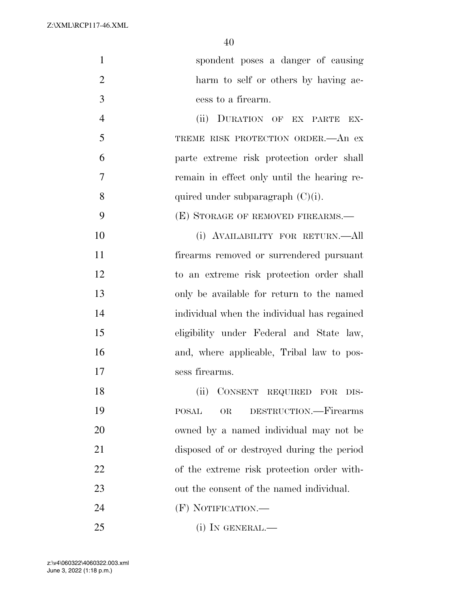| $\mathbf{1}$   | spondent poses a danger of causing          |
|----------------|---------------------------------------------|
| $\overline{2}$ | harm to self or others by having ac-        |
| 3              | cess to a firearm.                          |
| $\overline{4}$ | (ii) DURATION OF EX PARTE<br>EX-            |
| 5              | TREME RISK PROTECTION ORDER. An ex-         |
| 6              | parte extreme risk protection order shall   |
| 7              | remain in effect only until the hearing re- |
| 8              | quired under subparagraph $(C)(i)$ .        |
| 9              | (E) STORAGE OF REMOVED FIREARMS.—           |
| 10             | (i) AVAILABILITY FOR RETURN.—All            |
| 11             | firearms removed or surrendered pursuant    |
| 12             | to an extreme risk protection order shall   |
| 13             | only be available for return to the named   |
| 14             | individual when the individual has regained |
| 15             | eligibility under Federal and State law,    |
| 16             | and, where applicable, Tribal law to pos-   |
| 17             | sess firearms.                              |
| 18             | CONSENT REQUIRED FOR DIS-<br>(ii)           |
| 19             | DESTRUCTION.-Firearms<br><b>POSAL</b><br>OR |
| 20             | owned by a named individual may not be      |
| 21             | disposed of or destroyed during the period  |
| 22             | of the extreme risk protection order with-  |
| 23             | out the consent of the named individual.    |
| 24             | (F) NOTIFICATION.—                          |
| 25             | $(i)$ In GENERAL.—                          |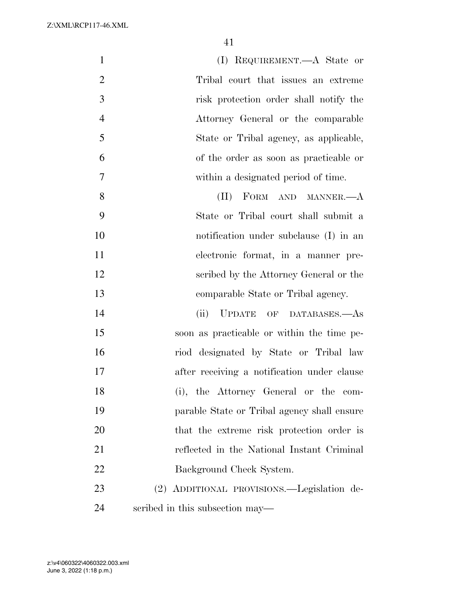| $\mathbf{1}$   | (I) REQUIREMENT.—A State or                 |
|----------------|---------------------------------------------|
| $\overline{2}$ | Tribal court that issues an extreme         |
| 3              | risk protection order shall notify the      |
| $\overline{4}$ | Attorney General or the comparable          |
| 5              | State or Tribal agency, as applicable,      |
| 6              | of the order as soon as practicable or      |
| $\tau$         | within a designated period of time.         |
| 8              | FORM AND MANNER.-A<br>(II)                  |
| 9              | State or Tribal court shall submit a        |
| 10             | notification under subclause (I) in an      |
| 11             | electronic format, in a manner pre-         |
| 12             | scribed by the Attorney General or the      |
| 13             | comparable State or Tribal agency.          |
| 14             | (ii) UPDATE OF DATABASES.-As                |
| 15             | soon as practicable or within the time pe-  |
| 16             | riod designated by State or Tribal law      |
| 17             | after receiving a notification under clause |
| 18             | (i), the Attorney General or the com-       |
| 19             | parable State or Tribal agency shall ensure |
| 20             | that the extreme risk protection order is   |
| 21             | reflected in the National Instant Criminal  |
| 22             | Background Check System.                    |
| 23             | (2) ADDITIONAL PROVISIONS.—Legislation de-  |
| 24             | scribed in this subsection may—             |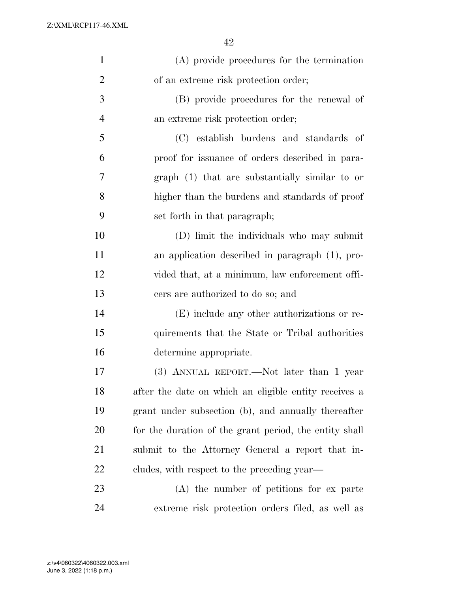| $\mathbf{1}$   | (A) provide procedures for the termination             |
|----------------|--------------------------------------------------------|
| $\overline{2}$ | of an extreme risk protection order;                   |
| 3              | (B) provide procedures for the renewal of              |
| $\overline{4}$ | an extreme risk protection order;                      |
| 5              | (C) establish burdens and standards of                 |
| 6              | proof for issuance of orders described in para-        |
| 7              | graph (1) that are substantially similar to or         |
| 8              | higher than the burdens and standards of proof         |
| 9              | set forth in that paragraph;                           |
| 10             | (D) limit the individuals who may submit               |
| 11             | an application described in paragraph (1), pro-        |
| 12             | vided that, at a minimum, law enforcement offi-        |
| 13             | cers are authorized to do so; and                      |
| 14             | (E) include any other authorizations or re-            |
| 15             | quirements that the State or Tribal authorities        |
| 16             | determine appropriate.                                 |
| 17             | (3) ANNUAL REPORT.—Not later than 1 year               |
| 18             | after the date on which an eligible entity receives a  |
| 19             | grant under subsection (b), and annually thereafter    |
| 20             | for the duration of the grant period, the entity shall |
| 21             | submit to the Attorney General a report that in-       |
| 22             | cludes, with respect to the preceding year—            |
| 23             | (A) the number of petitions for ex parte               |
| 24             | extreme risk protection orders filed, as well as       |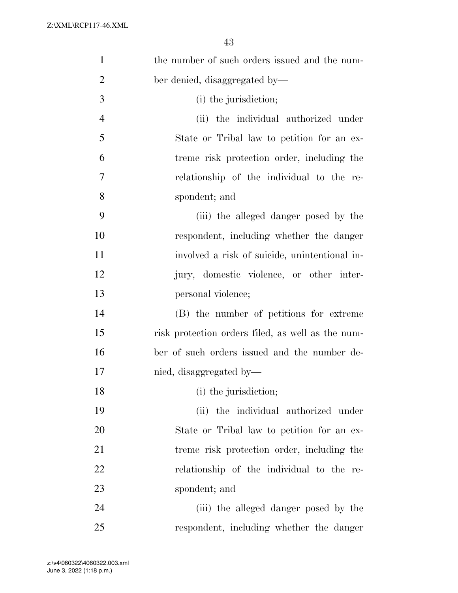| $\mathbf{1}$   | the number of such orders issued and the num-     |
|----------------|---------------------------------------------------|
| $\overline{2}$ | ber denied, disaggregated by—                     |
| 3              | (i) the jurisdiction;                             |
| $\overline{4}$ | (ii) the individual authorized under              |
| 5              | State or Tribal law to petition for an ex-        |
| 6              | treme risk protection order, including the        |
| 7              | relationship of the individual to the re-         |
| 8              | spondent; and                                     |
| 9              | (iii) the alleged danger posed by the             |
| 10             | respondent, including whether the danger          |
| 11             | involved a risk of suicide, unintentional in-     |
| 12             | jury, domestic violence, or other inter-          |
| 13             | personal violence;                                |
| 14             | (B) the number of petitions for extreme           |
| 15             | risk protection orders filed, as well as the num- |
| 16             | ber of such orders issued and the number de-      |
| 17             | nied, disaggregated by-                           |
| 18             | (i) the jurisdiction;                             |
| 19             | (ii) the individual authorized under              |
| 20             | State or Tribal law to petition for an ex-        |
| 21             | treme risk protection order, including the        |
| 22             | relationship of the individual to the re-         |
| 23             | spondent; and                                     |
| 24             | (iii) the alleged danger posed by the             |
| 25             | respondent, including whether the danger          |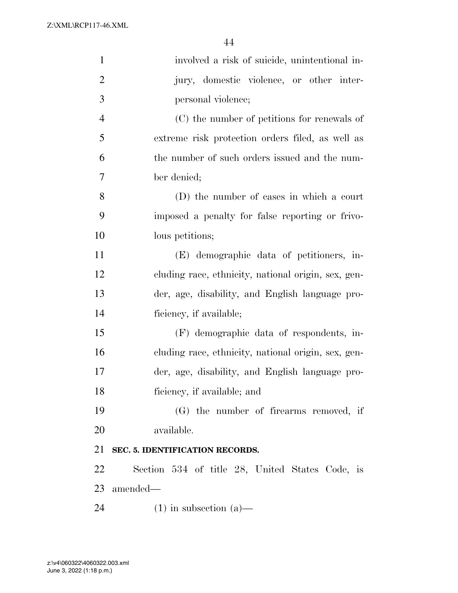| $\mathbf{1}$   | involved a risk of suicide, unintentional in-       |
|----------------|-----------------------------------------------------|
| $\overline{2}$ | jury, domestic violence, or other inter-            |
| 3              | personal violence;                                  |
| $\overline{4}$ | (C) the number of petitions for renewals of         |
| 5              | extreme risk protection orders filed, as well as    |
| 6              | the number of such orders issued and the num-       |
| 7              | ber denied;                                         |
| 8              | (D) the number of cases in which a court            |
| 9              | imposed a penalty for false reporting or frivo-     |
| 10             | lous petitions;                                     |
| 11             | (E) demographic data of petitioners, in-            |
| 12             | cluding race, ethnicity, national origin, sex, gen- |
| 13             | der, age, disability, and English language pro-     |
| 14             | ficiency, if available;                             |
| 15             | (F) demographic data of respondents, in-            |
| 16             | cluding race, ethnicity, national origin, sex, gen- |
| 17             | der, age, disability, and English language pro-     |
| 18             | ficiency, if available; and                         |
| 19             | (G) the number of firearms removed, if              |
| 20             | available.                                          |
| 21             | SEC. 5. IDENTIFICATION RECORDS.                     |
| 22             | Section 534 of title 28, United States Code, is     |
| 23             | amended—                                            |
| 24             | $(1)$ in subsection $(a)$ —                         |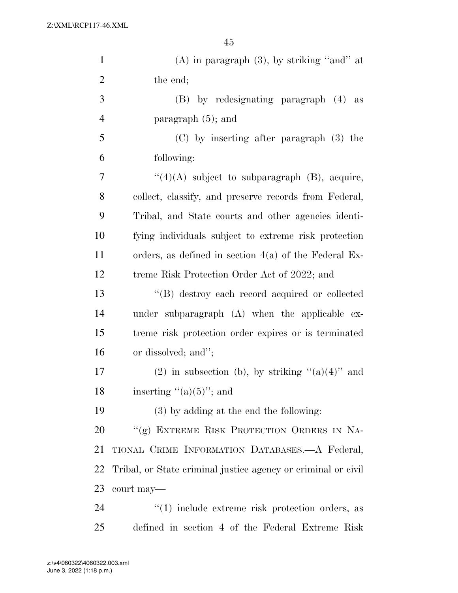| $\mathbf{1}$   | $(A)$ in paragraph $(3)$ , by striking "and" at               |
|----------------|---------------------------------------------------------------|
| $\overline{2}$ | the end;                                                      |
| 3              | (B) by redesignating paragraph (4) as                         |
| $\overline{4}$ | paragraph $(5)$ ; and                                         |
| 5              | $(C)$ by inserting after paragraph $(3)$ the                  |
| 6              | following:                                                    |
| 7              | $``(4)(A)$ subject to subparagraph $(B)$ , acquire,           |
| 8              | collect, classify, and preserve records from Federal,         |
| 9              | Tribal, and State courts and other agencies identi-           |
| 10             | fying individuals subject to extreme risk protection          |
| 11             | orders, as defined in section $4(a)$ of the Federal Ex-       |
| 12             | treme Risk Protection Order Act of 2022; and                  |
| 13             | "(B) destroy each record acquired or collected                |
| 14             | under subparagraph (A) when the applicable ex-                |
| 15             | treme risk protection order expires or is terminated          |
| 16             | or dissolved; and";                                           |
| 17             | (2) in subsection (b), by striking " $(a)(4)$ " and           |
| 18             | inserting " $(a)(5)$ "; and                                   |
| 19             | (3) by adding at the end the following:                       |
| 20             | "(g) EXTREME RISK PROTECTION ORDERS IN NA-                    |
| 21             | TIONAL CRIME INFORMATION DATABASES.—A Federal,                |
| 22             | Tribal, or State criminal justice agency or criminal or civil |
| 23             | court may—                                                    |
| 24             | $"(1)$ include extreme risk protection orders, as             |
| 25             | defined in section 4 of the Federal Extreme Risk              |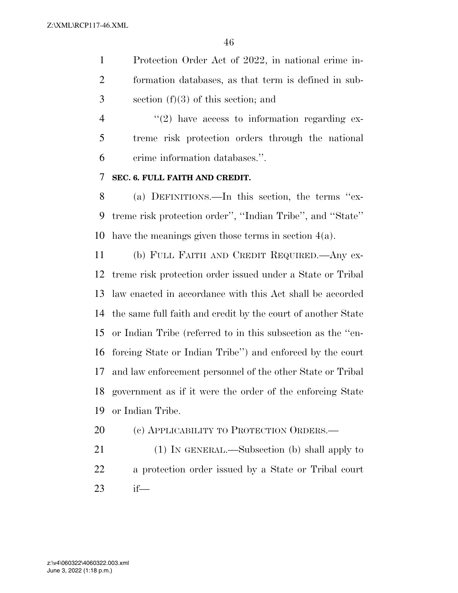Protection Order Act of 2022, in national crime in- formation databases, as that term is defined in sub-section (f)(3) of this section; and

 $\frac{4}{2}$  ''(2) have access to information regarding ex- treme risk protection orders through the national crime information databases.''.

### **SEC. 6. FULL FAITH AND CREDIT.**

 (a) DEFINITIONS.—In this section, the terms ''ex- treme risk protection order'', ''Indian Tribe'', and ''State'' have the meanings given those terms in section 4(a).

 (b) FULL FAITH AND CREDIT REQUIRED.—Any ex- treme risk protection order issued under a State or Tribal law enacted in accordance with this Act shall be accorded the same full faith and credit by the court of another State or Indian Tribe (referred to in this subsection as the ''en- forcing State or Indian Tribe'') and enforced by the court and law enforcement personnel of the other State or Tribal government as if it were the order of the enforcing State or Indian Tribe.

- 20 (c) APPLICABILITY TO PROTECTION ORDERS.—
- 21 (1) IN GENERAL.—Subsection (b) shall apply to a protection order issued by a State or Tribal court if—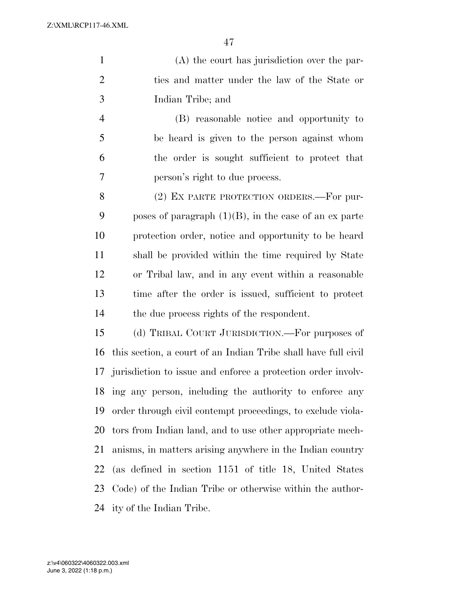(A) the court has jurisdiction over the par- ties and matter under the law of the State or Indian Tribe; and

 (B) reasonable notice and opportunity to be heard is given to the person against whom the order is sought sufficient to protect that person's right to due process.

8 (2) EX PARTE PROTECTION ORDERS.—For pur-9 poses of paragraph  $(1)(B)$ , in the case of an ex parte protection order, notice and opportunity to be heard shall be provided within the time required by State or Tribal law, and in any event within a reasonable time after the order is issued, sufficient to protect the due process rights of the respondent.

 (d) TRIBAL COURT JURISDICTION.—For purposes of this section, a court of an Indian Tribe shall have full civil jurisdiction to issue and enforce a protection order involv- ing any person, including the authority to enforce any order through civil contempt proceedings, to exclude viola- tors from Indian land, and to use other appropriate mech- anisms, in matters arising anywhere in the Indian country (as defined in section 1151 of title 18, United States Code) of the Indian Tribe or otherwise within the author-ity of the Indian Tribe.